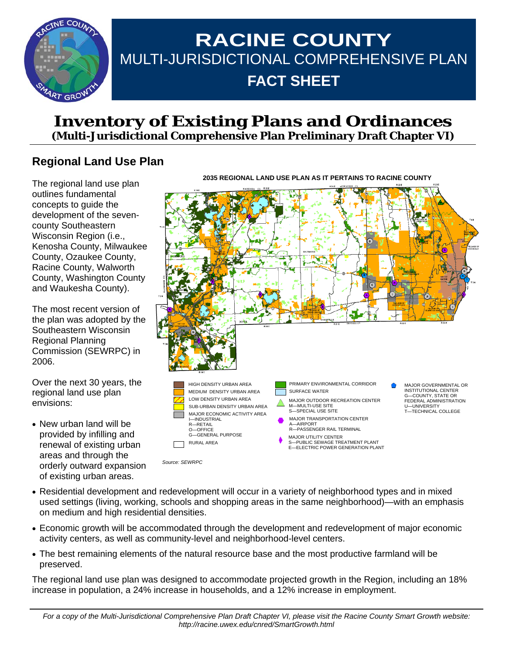

# **RACINE COUNTY**  MULTI-JURISDICTIONAL COMPREHENSIVE PLAN **FACT SHEET**

# **Inventory of Existing Plans and Ordinances (Multi-Jurisdictional Comprehensive Plan Preliminary Draft Chapter VI)**

# **Regional Land Use Plan**

The regional land use plan outlines fundamental concepts to guide the development of the sevencounty Southeastern Wisconsin Region (i.e., Kenosha County, Milwaukee County, Ozaukee County, Racine County, Walworth County, Washington County and Waukesha County).

The most recent version of the plan was adopted by the Southeastern Wisconsin Regional Planning Commission (SEWRPC) in 2006.

Over the next 30 years, the regional land use plan envisions:

• New urban land will be provided by infilling and renewal of existing urban areas and through the orderly outward expansion of existing urban areas.



- Residential development and redevelopment will occur in a variety of neighborhood types and in mixed used settings (living, working, schools and shopping areas in the same neighborhood)—with an emphasis on medium and high residential densities.
- Economic growth will be accommodated through the development and redevelopment of major economic activity centers, as well as community-level and neighborhood-level centers.
- The best remaining elements of the natural resource base and the most productive farmland will be preserved.

The regional land use plan was designed to accommodate projected growth in the Region, including an 18% increase in population, a 24% increase in households, and a 12% increase in employment.

**2035 REGIONAL LAND USE PLAN AS IT PERTAINS TO RACINE COUNTY**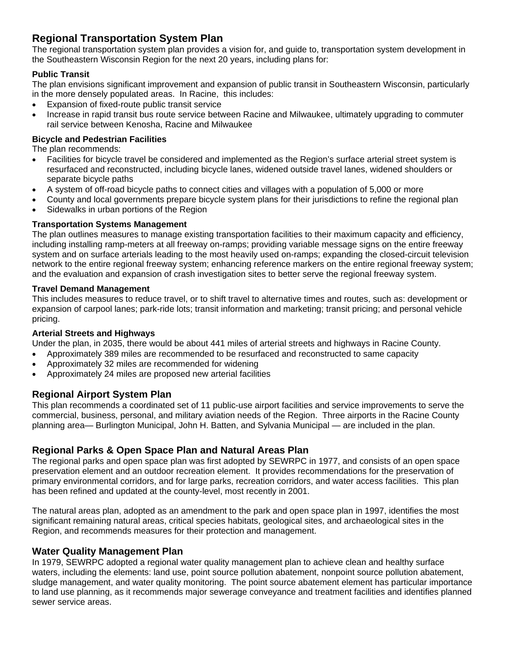# **Regional Transportation System Plan**

The regional transportation system plan provides a vision for, and guide to, transportation system development in the Southeastern Wisconsin Region for the next 20 years, including plans for:

#### **Public Transit**

The plan envisions significant improvement and expansion of public transit in Southeastern Wisconsin, particularly in the more densely populated areas. In Racine, this includes:

- Expansion of fixed-route public transit service
- Increase in rapid transit bus route service between Racine and Milwaukee, ultimately upgrading to commuter rail service between Kenosha, Racine and Milwaukee

### **Bicycle and Pedestrian Facilities**

The plan recommends:

- Facilities for bicycle travel be considered and implemented as the Region's surface arterial street system is resurfaced and reconstructed, including bicycle lanes, widened outside travel lanes, widened shoulders or separate bicycle paths
- A system of off-road bicycle paths to connect cities and villages with a population of 5,000 or more
- County and local governments prepare bicycle system plans for their jurisdictions to refine the regional plan
- Sidewalks in urban portions of the Region

#### **Transportation Systems Management**

The plan outlines measures to manage existing transportation facilities to their maximum capacity and efficiency, including installing ramp-meters at all freeway on-ramps; providing variable message signs on the entire freeway system and on surface arterials leading to the most heavily used on-ramps; expanding the closed-circuit television network to the entire regional freeway system; enhancing reference markers on the entire regional freeway system; and the evaluation and expansion of crash investigation sites to better serve the regional freeway system.

#### **Travel Demand Management**

This includes measures to reduce travel, or to shift travel to alternative times and routes, such as: development or expansion of carpool lanes; park-ride lots; transit information and marketing; transit pricing; and personal vehicle pricing.

#### **Arterial Streets and Highways**

Under the plan, in 2035, there would be about 441 miles of arterial streets and highways in Racine County.

- Approximately 389 miles are recommended to be resurfaced and reconstructed to same capacity
- Approximately 32 miles are recommended for widening
- Approximately 24 miles are proposed new arterial facilities

## **Regional Airport System Plan**

This plan recommends a coordinated set of 11 public-use airport facilities and service improvements to serve the commercial, business, personal, and military aviation needs of the Region. Three airports in the Racine County planning area— Burlington Municipal, John H. Batten, and Sylvania Municipal — are included in the plan.

## **Regional Parks & Open Space Plan and Natural Areas Plan**

The regional parks and open space plan was first adopted by SEWRPC in 1977, and consists of an open space preservation element and an outdoor recreation element. It provides recommendations for the preservation of primary environmental corridors, and for large parks, recreation corridors, and water access facilities. This plan has been refined and updated at the county-level, most recently in 2001.

The natural areas plan, adopted as an amendment to the park and open space plan in 1997, identifies the most significant remaining natural areas, critical species habitats, geological sites, and archaeological sites in the Region, and recommends measures for their protection and management.

## **Water Quality Management Plan**

In 1979, SEWRPC adopted a regional water quality management plan to achieve clean and healthy surface waters, including the elements: land use, point source pollution abatement, nonpoint source pollution abatement, sludge management, and water quality monitoring. The point source abatement element has particular importance to land use planning, as it recommends major sewerage conveyance and treatment facilities and identifies planned sewer service areas.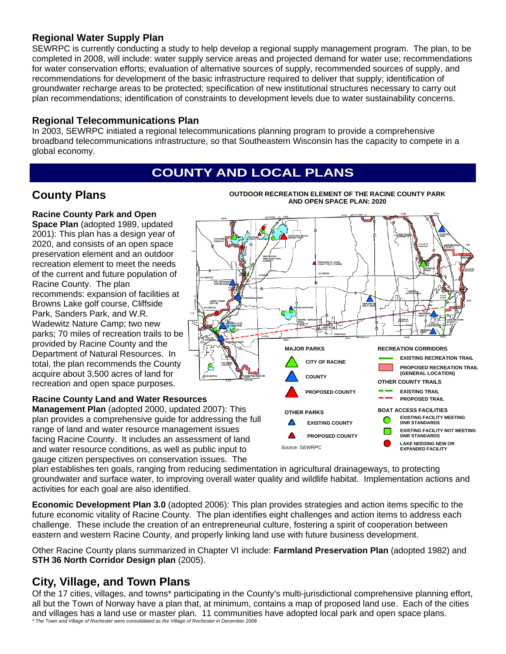# **Regional Water Supply Plan**

SEWRPC is currently conducting a study to help develop a regional supply management program. The plan, to be completed in 2008, will include: water supply service areas and projected demand for water use; recommendations for water conservation efforts; evaluation of alternative sources of supply, recommended sources of supply, and recommendations for development of the basic infrastructure required to deliver that supply; identification of groundwater recharge areas to be protected; specification of new institutional structures necessary to carry out plan recommendations; identification of constraints to development levels due to water sustainability concerns.

### **Regional Telecommunications Plan**

In 2003, SEWRPC initiated a regional telecommunications planning program to provide a comprehensive broadband telecommunications infrastructure, so that Southeastern Wisconsin has the capacity to compete in a global economy.

# **COUNTY AND LOCAL PLANS**

# **County Plans**

**OUTDOOR RECREATION ELEMENT OF THE RACINE COUNTY PARK AND OPEN SPACE PLAN: 2020** 

# **Racine County Park and Open**

**Space Plan** (adopted 1989, updated 2001): This plan has a design year of 2020, and consists of an open space preservation element and an outdoor recreation element to meet the needs of the current and future population of Racine County. The plan recommends: expansion of facilities at Browns Lake golf course, Cliffside Park, Sanders Park, and W.R. Wadewitz Nature Camp; two new parks; 70 miles of recreation trails to be provided by Racine County and the Department of Natural Resources. In total, the plan recommends the County acquire about 3,500 acres of land for recreation and open space purposes.

#### **Racine County Land and Water Resources Management Plan** (adopted 2000, updated 2007): This

plan provides a comprehensive guide for addressing the full range of land and water resource management issues facing Racine County. It includes an assessment of land and water resource conditions, as well as public input to gauge citizen perspectives on conservation issues. The



plan establishes ten goals, ranging from reducing sedimentation in agricultural drainageways, to protecting groundwater and surface water, to improving overall water quality and wildlife habitat. Implementation actions and activities for each goal are also identified.

**Economic Development Plan 3.0** (adopted 2006): This plan provides strategies and action items specific to the future economic vitality of Racine County. The plan identifies eight challenges and action items to address each challenge. These include the creation of an entrepreneurial culture, fostering a spirit of cooperation between eastern and western Racine County, and properly linking land use with future business development.

Other Racine County plans summarized in Chapter VI include: **Farmland Preservation Plan** (adopted 1982) and **STH 36 North Corridor Design plan** (2005).

# **City, Village, and Town Plans**

Of the 17 cities, villages, and towns\* participating in the County's multi-jurisdictional comprehensive planning effort, all but the Town of Norway have a plan that, at minimum, contains a map of proposed land use. Each of the cities and villages has a land use or master plan. 11 communities have adopted local park and open space plans. *\* The Town and Village of Rochester were consolidated as the Village of Rochester in December 2008.*